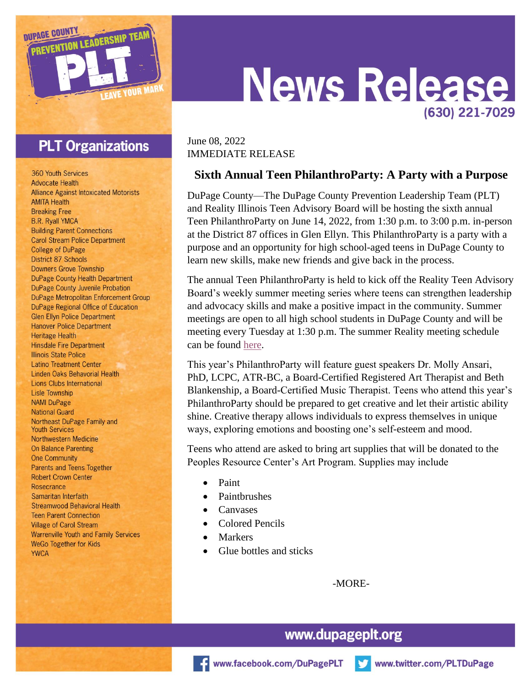

## **PLT Organizations**

**360 Youth Services Advocate Health Alliance Against Intoxicated Motorists AMITA Health Breaking Free B.R. Ryall YMCA Building Parent Connections Carol Stream Police Department College of DuPage District 87 Schools Downers Grove Township DuPage County Health Department DuPage County Juvenile Probation DuPage Metropolitan Enforcement Group** DuPage Regional Office of Education **Glen Ellyn Police Department Hanover Police Department Heritage Health Hinsdale Fire Department Illinois State Police Latino Treatment Center Linden Oaks Behavorial Health Lions Clubs International Lisle Township NAMI DuPage National Guard** Northeast DuPage Family and **Youth Services Northwestern Medicine On Balance Parenting One Community Parents and Teens Together Robert Crown Center** Rosecrance Samaritan Interfaith **Streamwood Behavioral Health Teen Parent Connection Village of Carol Stream Warrenville Youth and Family Services WeGo Together for Kids YWCA** 

# **News Releas** (630) 221-7029

#### June 08, 2022 IMMEDIATE RELEASE

#### **Sixth Annual Teen PhilanthroParty: A Party with a Purpose**

DuPage County—The DuPage County Prevention Leadership Team (PLT) and Reality Illinois Teen Advisory Board will be hosting the sixth annual Teen PhilanthroParty on June 14, 2022, from 1:30 p.m. to 3:00 p.m. in-person at the District 87 offices in Glen Ellyn. This PhilanthroParty is a party with a purpose and an opportunity for high school-aged teens in DuPage County to learn new skills, make new friends and give back in the process.

The annual Teen PhilanthroParty is held to kick off the Reality Teen Advisory Board's weekly summer meeting series where teens can strengthen leadership and advocacy skills and make a positive impact in the community. Summer meetings are open to all high school students in DuPage County and will be meeting every Tuesday at 1:30 p.m. The summer Reality meeting schedule can be found [here.](https://dupageplt.org/DocumentCenter/View/152/Summer-Reality-2022)

This year's PhilanthroParty will feature guest speakers Dr. Molly Ansari, PhD, LCPC, ATR-BC, a Board-Certified Registered Art Therapist and Beth Blankenship, a Board-Certified Music Therapist. Teens who attend this year's PhilanthroParty should be prepared to get creative and let their artistic ability shine. Creative therapy allows individuals to express themselves in unique ways, exploring emotions and boosting one's self-esteem and mood.

Teens who attend are asked to bring art supplies that will be donated to the Peoples Resource Center's Art Program. Supplies may include

- Paint
- Paintbrushes
- Canvases
- Colored Pencils
- Markers
- Glue bottles and sticks

-MORE-

### www.dupageplt.org